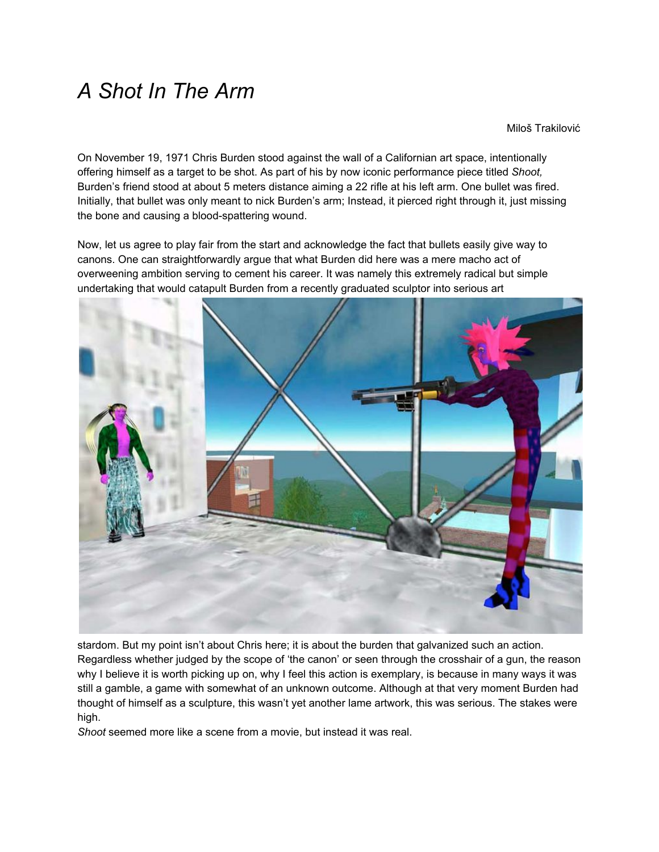## *A Shot In The Arm*

Miloš Trakilović

On November 19, 1971 Chris Burden stood against the wall of a Californian art space, intentionally offering himself as a target to be shot. As part of his by now iconic performance piece titled *Shoot,* Burden's friend stood at about 5 meters distance aiming a 22 rifle at his left arm. One bullet was fired. Initially, that bullet was only meant to nick Burden's arm; Instead, it pierced right through it, just missing the bone and causing a blood-spattering wound.

Now, let us agree to play fair from the start and acknowledge the fact that bullets easily give way to canons. One can straightforwardly argue that what Burden did here was a mere macho act of overweening ambition serving to cement his career. It was namely this extremely radical but simple undertaking that would catapult Burden from a recently graduated sculptor into serious art



stardom. But my point isn't about Chris here; it is about the burden that galvanized such an action. Regardless whether judged by the scope of 'the canon' or seen through the crosshair of a gun, the reason why I believe it is worth picking up on, why I feel this action is exemplary, is because in many ways it was still a gamble, a game with somewhat of an unknown outcome. Although at that very moment Burden had thought of himself as a sculpture, this wasn't yet another lame artwork, this was serious. The stakes were high.

*Shoot* seemed more like a scene from a movie, but instead it was real.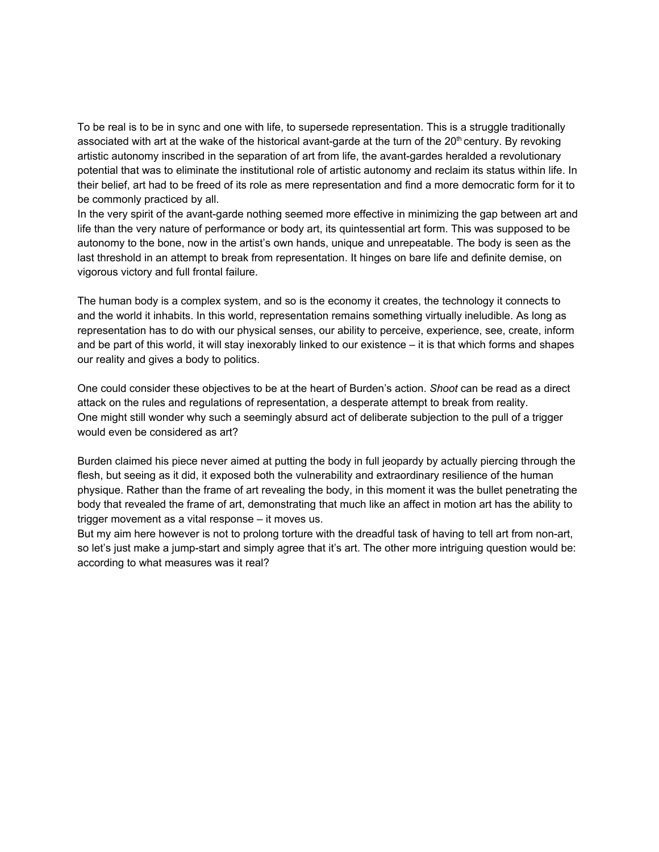To be real is to be in sync and one with life, to supersede representation. This is a struggle traditionally associated with art at the wake of the historical avant-garde at the turn of the 20<sup>th</sup> century. By revoking artistic autonomy inscribed in the separation of art from life, the avant-gardes heralded a revolutionary potential that was to eliminate the institutional role of artistic autonomy and reclaim its status within life. In their belief, art had to be freed of its role as mere representation and find a more democratic form for it to be commonly practiced by all.

In the very spirit of the avant-garde nothing seemed more effective in minimizing the gap between art and life than the very nature of performance or body art, its quintessential art form. This was supposed to be autonomy to the bone, now in the artist's own hands, unique and unrepeatable. The body is seen as the last threshold in an attempt to break from representation. It hinges on bare life and definite demise, on vigorous victory and full frontal failure.

The human body is a complex system, and so is the economy it creates, the technology it connects to and the world it inhabits. In this world, representation remains something virtually ineludible. As long as representation has to do with our physical senses, our ability to perceive, experience, see, create, inform and be part of this world, it will stay inexorably linked to our existence – it is that which forms and shapes our reality and gives a body to politics.

One could consider these objectives to be at the heart of Burden's action. *Shoot* can be read as a direct attack on the rules and regulations of representation, a desperate attempt to break from reality. One might still wonder why such a seemingly absurd act of deliberate subjection to the pull of a trigger would even be considered as art?

Burden claimed his piece never aimed at putting the body in full jeopardy by actually piercing through the flesh, but seeing as it did, it exposed both the vulnerability and extraordinary resilience of the human physique. Rather than the frame of art revealing the body, in this moment it was the bullet penetrating the body that revealed the frame of art, demonstrating that much like an affect in motion art has the ability to trigger movement as a vital response – it moves us.

But my aim here however is not to prolong torture with the dreadful task of having to tell art from non-art, so let's just make a jump-start and simply agree that it's art. The other more intriguing question would be: according to what measures was it real?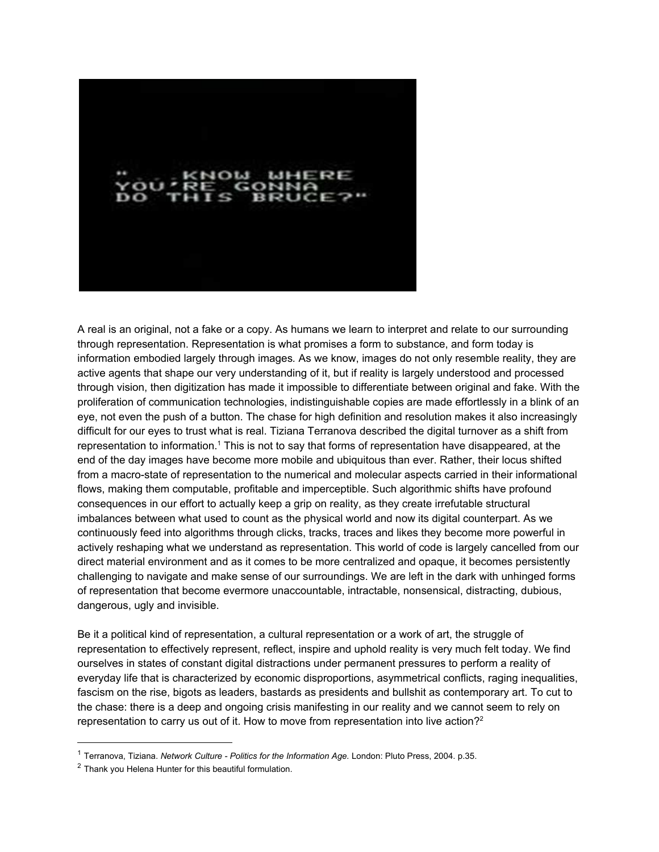

A real is an original, not a fake or a copy. As humans we learn to interpret and relate to our surrounding through representation. Representation is what promises a form to substance, and form today is information embodied largely through images*.* As we know, images do not only resemble reality, they are active agents that shape our very understanding of it, but if reality is largely understood and processed through vision, then digitization has made it impossible to differentiate between original and fake. With the proliferation of communication technologies, indistinguishable copies are made effortlessly in a blink of an eye, not even the push of a button. The chase for high definition and resolution makes it also increasingly difficult for our eyes to trust what is real. Tiziana Terranova described the digital turnover as a shift from representation to information.<sup>1</sup> This is not to say that forms of representation have disappeared, at the end of the day images have become more mobile and ubiquitous than ever. Rather, their locus shifted from a macro-state of representation to the numerical and molecular aspects carried in their informational flows, making them computable, profitable and imperceptible. Such algorithmic shifts have profound consequences in our effort to actually keep a grip on reality, as they create irrefutable structural imbalances between what used to count as the physical world and now its digital counterpart. As we continuously feed into algorithms through clicks, tracks, traces and likes they become more powerful in actively reshaping what we understand as representation. This world of code is largely cancelled from our direct material environment and as it comes to be more centralized and opaque, it becomes persistently challenging to navigate and make sense of our surroundings. We are left in the dark with unhinged forms of representation that become evermore unaccountable, intractable, nonsensical, distracting, dubious, dangerous, ugly and invisible.

Be it a political kind of representation, a cultural representation or a work of art, the struggle of representation to effectively represent, reflect, inspire and uphold reality is very much felt today. We find ourselves in states of constant digital distractions under permanent pressures to perform a reality of everyday life that is characterized by economic disproportions, asymmetrical conflicts, raging inequalities, fascism on the rise, bigots as leaders, bastards as presidents and bullshit as contemporary art. To cut to the chase: there is a deep and ongoing crisis manifesting in our reality and we cannot seem to rely on representation to carry us out of it. How to move from representation into live action?<sup>2</sup>

<sup>1</sup> Terranova, Tiziana. *Network Culture - Politics for the Information Age.* London: Pluto Press, 2004. p.35.

<sup>2</sup> Thank you Helena Hunter for this beautiful formulation.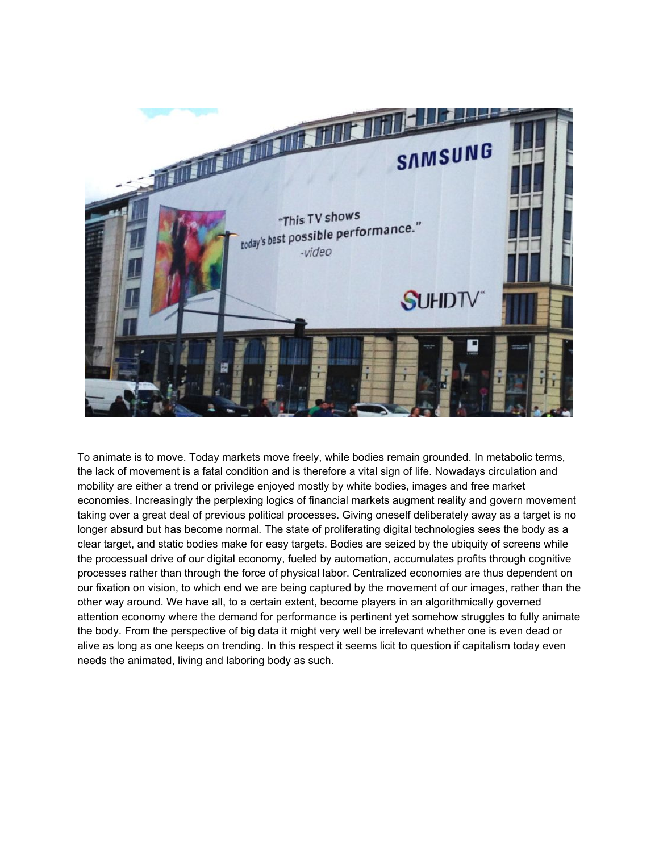

To animate is to move. Today markets move freely, while bodies remain grounded. In metabolic terms, the lack of movement is a fatal condition and is therefore a vital sign of life. Nowadays circulation and mobility are either a trend or privilege enjoyed mostly by white bodies, images and free market economies. Increasingly the perplexing logics of financial markets augment reality and govern movement taking over a great deal of previous political processes. Giving oneself deliberately away as a target is no longer absurd but has become normal. The state of proliferating digital technologies sees the body as a clear target, and static bodies make for easy targets. Bodies are seized by the ubiquity of screens while the processual drive of our digital economy, fueled by automation, accumulates profits through cognitive processes rather than through the force of physical labor. Centralized economies are thus dependent on our fixation on vision, to which end we are being captured by the movement of our images, rather than the other way around. We have all, to a certain extent, become players in an algorithmically governed attention economy where the demand for performance is pertinent yet somehow struggles to fully animate the body. From the perspective of big data it might very well be irrelevant whether one is even dead or alive as long as one keeps on trending. In this respect it seems licit to question if capitalism today even needs the animated, living and laboring body as such.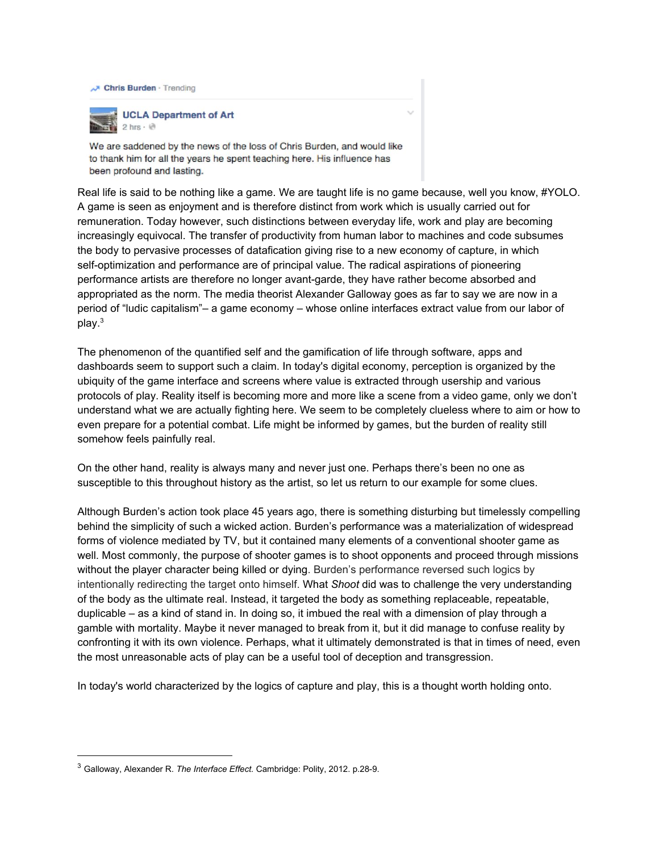∧ Chris Burden · Trending



We are saddened by the news of the loss of Chris Burden, and would like to thank him for all the years he spent teaching here. His influence has been profound and lasting.

Real life is said to be nothing like a game. We are taught life is no game because, well you know, #YOLO. A game is seen as enjoyment and is therefore distinct from work which is usually carried out for remuneration. Today however, such distinctions between everyday life, work and play are becoming increasingly equivocal. The transfer of productivity from human labor to machines and code subsumes the body to pervasive processes of datafication giving rise to a new economy of capture, in which self-optimization and performance are of principal value. The radical aspirations of pioneering performance artists are therefore no longer avant-garde, they have rather become absorbed and appropriated as the norm. The media theorist Alexander Galloway goes as far to say we are now in a period of "ludic capitalism"– a game economy – whose online interfaces extract value from our labor of play. 3

The phenomenon of the quantified self and the gamification of life through software, apps and dashboards seem to support such a claim. In today's digital economy, perception is organized by the ubiquity of the game interface and screens where value is extracted through usership and various protocols of play. Reality itself is becoming more and more like a scene from a video game, only we don't understand what we are actually fighting here. We seem to be completely clueless where to aim or how to even prepare for a potential combat. Life might be informed by games, but the burden of reality still somehow feels painfully real.

On the other hand, reality is always many and never just one. Perhaps there's been no one as susceptible to this throughout history as the artist, so let us return to our example for some clues.

Although Burden's action took place 45 years ago, there is something disturbing but timelessly compelling behind the simplicity of such a wicked action. Burden's performance was a materialization of widespread forms of violence mediated by TV, but it contained many elements of a conventional shooter game as well. Most commonly, the purpose of shooter games is to shoot opponents and proceed through missions without the player character being killed or dying. Burden's performance reversed such logics by intentionally redirecting the target onto himself. What *Shoot* did was to challenge the very understanding of the body as the ultimate real. Instead, it targeted the body as something replaceable, repeatable, duplicable – as a kind of stand in. In doing so, it imbued the real with a dimension of play through a gamble with mortality. Maybe it never managed to break from it, but it did manage to confuse reality by confronting it with its own violence. Perhaps, what it ultimately demonstrated is that in times of need, even the most unreasonable acts of play can be a useful tool of deception and transgression.

In today's world characterized by the logics of capture and play, this is a thought worth holding onto.

<sup>3</sup> Galloway, Alexander R. *The Interface Effect.* Cambridge: Polity, 2012. p.28-9.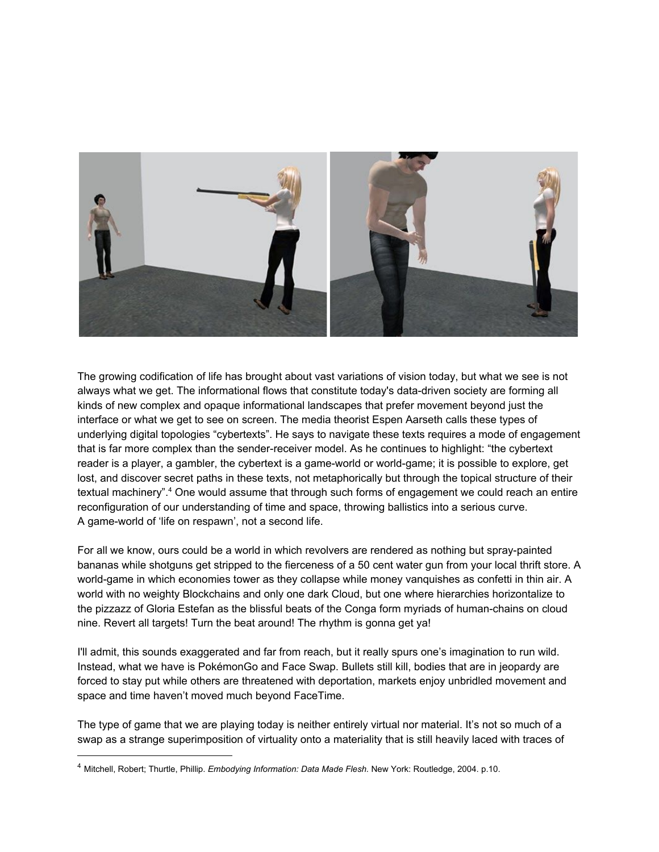

The growing codification of life has brought about vast variations of vision today, but what we see is not always what we get. The informational flows that constitute today's data-driven society are forming all kinds of new complex and opaque informational landscapes that prefer movement beyond just the interface or what we get to see on screen. The media theorist Espen Aarseth calls these types of underlying digital topologies "cybertexts". He says to navigate these texts requires a mode of engagement that is far more complex than the sender-receiver model. As he continues to highlight: "the cybertext reader is a player, a gambler, the cybertext is a game-world or world-game; it is possible to explore, get lost, and discover secret paths in these texts, not metaphorically but through the topical structure of their textual machinery".<sup>4</sup> One would assume that through such forms of engagement we could reach an entire reconfiguration of our understanding of time and space, throwing ballistics into a serious curve. A game-world of 'life on respawn', not a second life.

For all we know, ours could be a world in which revolvers are rendered as nothing but spray-painted bananas while shotguns get stripped to the fierceness of a 50 cent water gun from your local thrift store. A world-game in which economies tower as they collapse while money vanquishes as confetti in thin air. A world with no weighty Blockchains and only one dark Cloud, but one where hierarchies horizontalize to the pizzazz of Gloria Estefan as the blissful beats of the Conga form myriads of human-chains on cloud nine. Revert all targets! Turn the beat around! The rhythm is gonna get ya!

I'll admit, this sounds exaggerated and far from reach, but it really spurs one's imagination to run wild. Instead, what we have is PokémonGo and Face Swap. Bullets still kill, bodies that are in jeopardy are forced to stay put while others are threatened with deportation, markets enjoy unbridled movement and space and time haven't moved much beyond FaceTime.

The type of game that we are playing today is neither entirely virtual nor material. It's not so much of a swap as a strange superimposition of virtuality onto a materiality that is still heavily laced with traces of

<sup>4</sup> Mitchell, Robert; Thurtle, Phillip. *Embodying Information: Data Made Flesh.* New York: Routledge, 2004. p.10.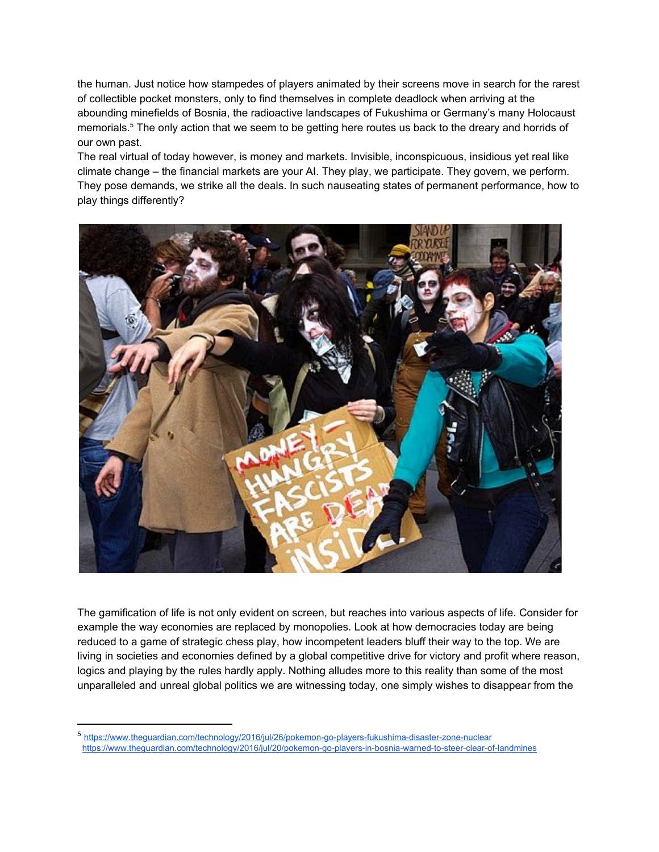the human. Just notice how stampedes of players animated by their screens move in search for the rarest of collectible pocket monsters, only to find themselves in complete deadlock when arriving at the abounding minefields of Bosnia, the radioactive landscapes of Fukushima or Germany's many Holocaust memorials.<sup>5</sup> The only action that we seem to be getting here routes us back to the dreary and horrids of our own past.

The real virtual of today however, is money and markets. Invisible, inconspicuous, insidious yet real like climate change – the financial markets are your AI. They play, we participate. They govern, we perform. They pose demands, we strike all the deals. In such nauseating states of permanent performance, how to play things differently?



The gamification of life is not only evident on screen, but reaches into various aspects of life. Consider for example the way economies are replaced by monopolies. Look at how democracies today are being reduced to a game of strategic chess play, how incompetent leaders bluff their way to the top. We are living in societies and economies defined by a global competitive drive for victory and profit where reason, logics and playing by the rules hardly apply. Nothing alludes more to this reality than some of the most unparalleled and unreal global politics we are witnessing today, one simply wishes to disappear from the

<sup>5</sup> <https://www.theguardian.com/technology/2016/jul/26/pokemon-go-players-fukushima-disaster-zone-nuclear> <https://www.theguardian.com/technology/2016/jul/20/pokemon-go-players-in-bosnia-warned-to-steer-clear-of-landmines>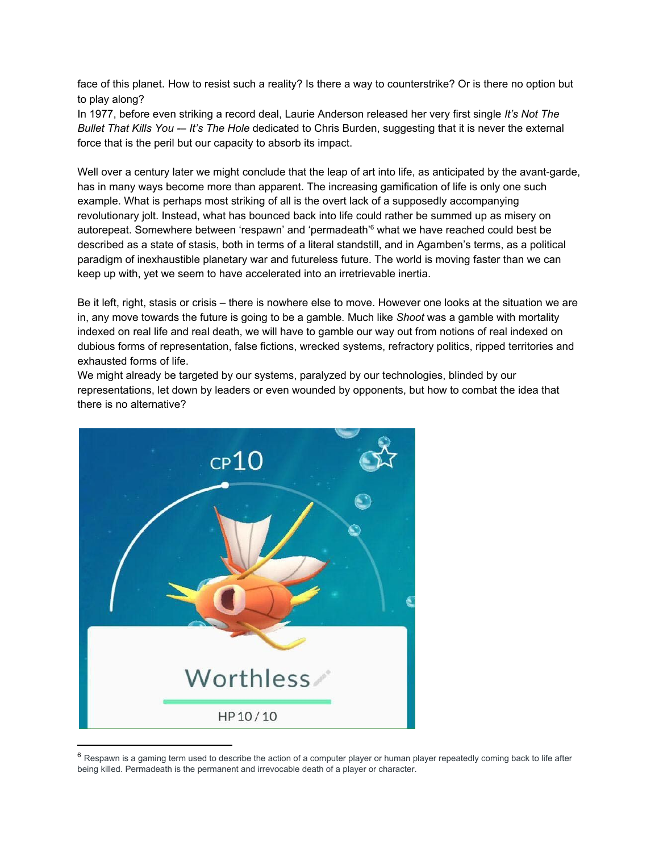face of this planet. How to resist such a reality? Is there a way to counterstrike? Or is there no option but to play along?

In 1977, before even striking a record deal, Laurie Anderson released her very first single *It's Not The Bullet That Kills You -– It's The Hole* dedicated to Chris Burden, suggesting that it is never the external force that is the peril but our capacity to absorb its impact.

Well over a century later we might conclude that the leap of art into life, as anticipated by the avant-garde, has in many ways become more than apparent. The increasing gamification of life is only one such example. What is perhaps most striking of all is the overt lack of a supposedly accompanying revolutionary jolt. Instead, what has bounced back into life could rather be summed up as misery on autorepeat. Somewhere between 'respawn' and 'permadeath'<sup>6</sup> what we have reached could best be described as a state of stasis, both in terms of a literal standstill, and in Agamben's terms, as a political paradigm of inexhaustible planetary war and futureless future. The world is moving faster than we can keep up with, yet we seem to have accelerated into an irretrievable inertia.

Be it left, right, stasis or crisis – there is nowhere else to move. However one looks at the situation we are in, any move towards the future is going to be a gamble*.* Much like *Shoot* was a gamble with mortality indexed on real life and real death, we will have to gamble our way out from notions of real indexed on dubious forms of representation, false fictions, wrecked systems, refractory politics, ripped territories and exhausted forms of life.

We might already be targeted by our systems, paralyzed by our technologies, blinded by our representations, let down by leaders or even wounded by opponents, but how to combat the idea that there is no alternative?



<sup>6</sup> Respawn is a gaming term used to describe the action of a computer player or human player repeatedly coming back to life after being killed. Permadeath is the permanent and irrevocable death of a player or character.